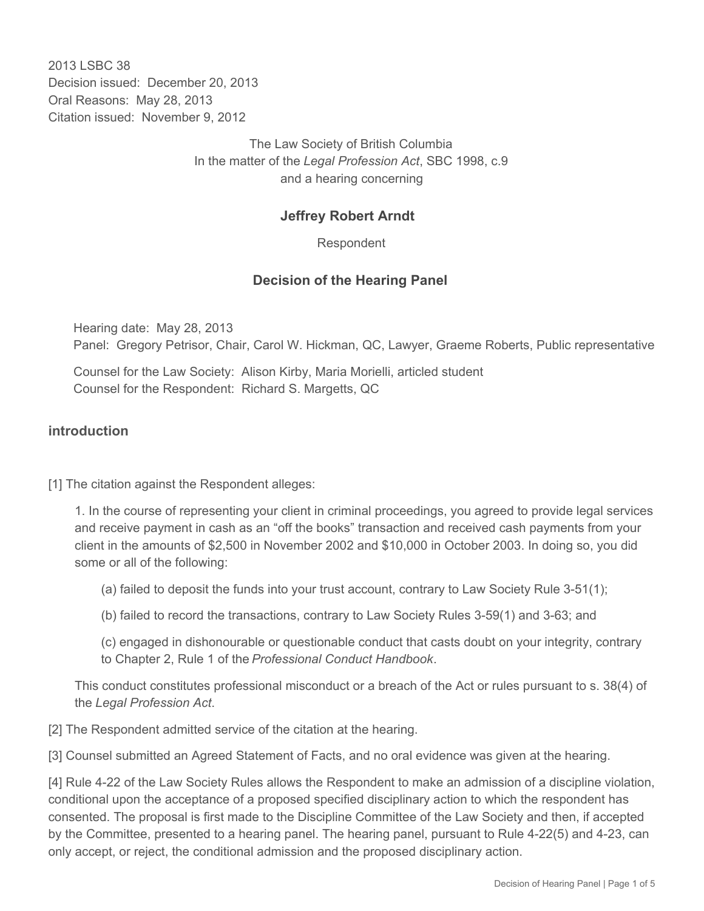2013 LSBC 38 Decision issued: December 20, 2013 Oral Reasons: May 28, 2013 Citation issued: November 9, 2012

> The Law Society of British Columbia In the matter of the *Legal Profession Act*, SBC 1998, c.9 and a hearing concerning

### **Jeffrey Robert Arndt**

Respondent

### **Decision of the Hearing Panel**

Hearing date: May 28, 2013 Panel: Gregory Petrisor, Chair, Carol W. Hickman, QC, Lawyer, Graeme Roberts, Public representative

Counsel for the Law Society: Alison Kirby, Maria Morielli, articled student Counsel for the Respondent: Richard S. Margetts, QC

### **introduction**

[1] The citation against the Respondent alleges:

1. In the course of representing your client in criminal proceedings, you agreed to provide legal services and receive payment in cash as an "off the books" transaction and received cash payments from your client in the amounts of \$2,500 in November 2002 and \$10,000 in October 2003. In doing so, you did some or all of the following:

(a) failed to deposit the funds into your trust account, contrary to Law Society Rule 3-51(1);

(b) failed to record the transactions, contrary to Law Society Rules 3-59(1) and 3-63; and

(c) engaged in dishonourable or questionable conduct that casts doubt on your integrity, contrary to Chapter 2, Rule 1 of the *Professional Conduct Handbook*.

This conduct constitutes professional misconduct or a breach of the Act or rules pursuant to s. 38(4) of the *Legal Profession Act*.

[2] The Respondent admitted service of the citation at the hearing.

[3] Counsel submitted an Agreed Statement of Facts, and no oral evidence was given at the hearing.

[4] Rule 4-22 of the Law Society Rules allows the Respondent to make an admission of a discipline violation, conditional upon the acceptance of a proposed specified disciplinary action to which the respondent has consented. The proposal is first made to the Discipline Committee of the Law Society and then, if accepted by the Committee, presented to a hearing panel. The hearing panel, pursuant to Rule 4-22(5) and 4-23, can only accept, or reject, the conditional admission and the proposed disciplinary action.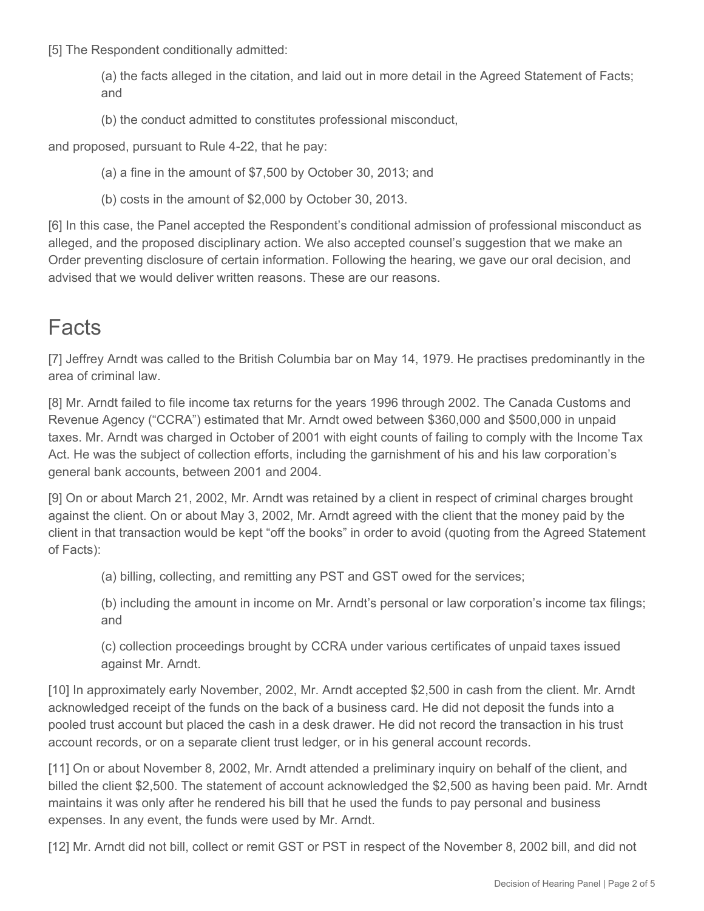[5] The Respondent conditionally admitted:

(a) the facts alleged in the citation, and laid out in more detail in the Agreed Statement of Facts; and

(b) the conduct admitted to constitutes professional misconduct,

and proposed, pursuant to Rule 4-22, that he pay:

(a) a fine in the amount of \$7,500 by October 30, 2013; and

(b) costs in the amount of \$2,000 by October 30, 2013.

[6] In this case, the Panel accepted the Respondent's conditional admission of professional misconduct as alleged, and the proposed disciplinary action. We also accepted counsel's suggestion that we make an Order preventing disclosure of certain information. Following the hearing, we gave our oral decision, and advised that we would deliver written reasons. These are our reasons.

# **Facts**

[7] Jeffrey Arndt was called to the British Columbia bar on May 14, 1979. He practises predominantly in the area of criminal law.

[8] Mr. Arndt failed to file income tax returns for the years 1996 through 2002. The Canada Customs and Revenue Agency ("CCRA") estimated that Mr. Arndt owed between \$360,000 and \$500,000 in unpaid taxes. Mr. Arndt was charged in October of 2001 with eight counts of failing to comply with the Income Tax Act. He was the subject of collection efforts, including the garnishment of his and his law corporation's general bank accounts, between 2001 and 2004.

[9] On or about March 21, 2002, Mr. Arndt was retained by a client in respect of criminal charges brought against the client. On or about May 3, 2002, Mr. Arndt agreed with the client that the money paid by the client in that transaction would be kept "off the books" in order to avoid (quoting from the Agreed Statement of Facts):

(a) billing, collecting, and remitting any PST and GST owed for the services;

(b) including the amount in income on Mr. Arndt's personal or law corporation's income tax filings; and

(c) collection proceedings brought by CCRA under various certificates of unpaid taxes issued against Mr. Arndt.

[10] In approximately early November, 2002, Mr. Arndt accepted \$2,500 in cash from the client. Mr. Arndt acknowledged receipt of the funds on the back of a business card. He did not deposit the funds into a pooled trust account but placed the cash in a desk drawer. He did not record the transaction in his trust account records, or on a separate client trust ledger, or in his general account records.

[11] On or about November 8, 2002, Mr. Arndt attended a preliminary inquiry on behalf of the client, and billed the client \$2,500. The statement of account acknowledged the \$2,500 as having been paid. Mr. Arndt maintains it was only after he rendered his bill that he used the funds to pay personal and business expenses. In any event, the funds were used by Mr. Arndt.

[12] Mr. Arndt did not bill, collect or remit GST or PST in respect of the November 8, 2002 bill, and did not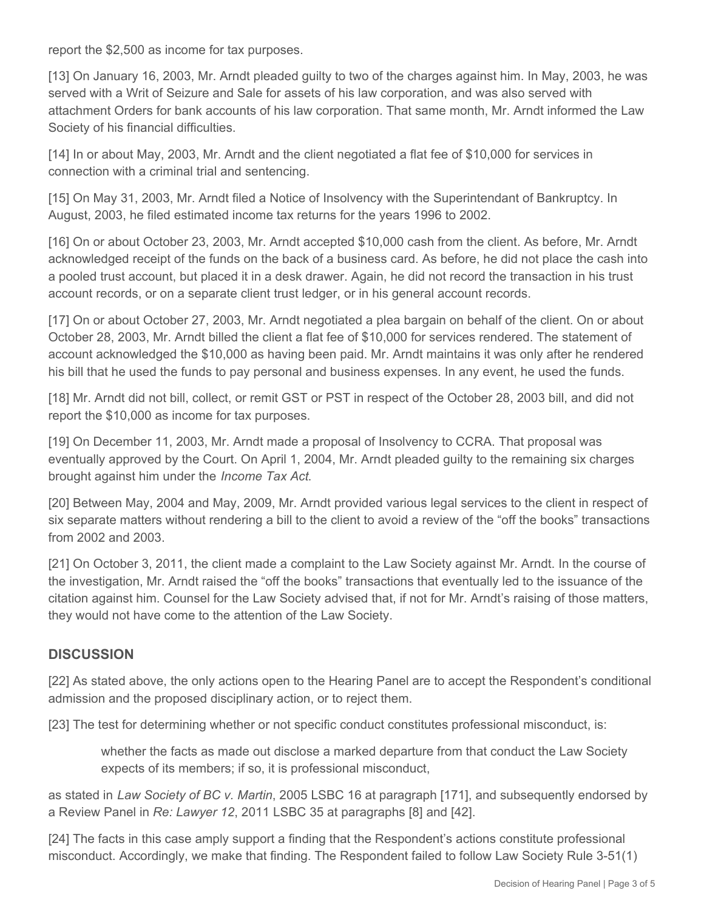report the \$2,500 as income for tax purposes.

[13] On January 16, 2003, Mr. Arndt pleaded guilty to two of the charges against him. In May, 2003, he was served with a Writ of Seizure and Sale for assets of his law corporation, and was also served with attachment Orders for bank accounts of his law corporation. That same month, Mr. Arndt informed the Law Society of his financial difficulties.

[14] In or about May, 2003, Mr. Arndt and the client negotiated a flat fee of \$10,000 for services in connection with a criminal trial and sentencing.

[15] On May 31, 2003, Mr. Arndt filed a Notice of Insolvency with the Superintendant of Bankruptcy. In August, 2003, he filed estimated income tax returns for the years 1996 to 2002.

[16] On or about October 23, 2003, Mr. Arndt accepted \$10,000 cash from the client. As before, Mr. Arndt acknowledged receipt of the funds on the back of a business card. As before, he did not place the cash into a pooled trust account, but placed it in a desk drawer. Again, he did not record the transaction in his trust account records, or on a separate client trust ledger, or in his general account records.

[17] On or about October 27, 2003, Mr. Arndt negotiated a plea bargain on behalf of the client. On or about October 28, 2003, Mr. Arndt billed the client a flat fee of \$10,000 for services rendered. The statement of account acknowledged the \$10,000 as having been paid. Mr. Arndt maintains it was only after he rendered his bill that he used the funds to pay personal and business expenses. In any event, he used the funds.

[18] Mr. Arndt did not bill, collect, or remit GST or PST in respect of the October 28, 2003 bill, and did not report the \$10,000 as income for tax purposes.

[19] On December 11, 2003, Mr. Arndt made a proposal of Insolvency to CCRA. That proposal was eventually approved by the Court. On April 1, 2004, Mr. Arndt pleaded guilty to the remaining six charges brought against him under the *Income Tax Act*.

[20] Between May, 2004 and May, 2009, Mr. Arndt provided various legal services to the client in respect of six separate matters without rendering a bill to the client to avoid a review of the "off the books" transactions from 2002 and 2003.

[21] On October 3, 2011, the client made a complaint to the Law Society against Mr. Arndt. In the course of the investigation, Mr. Arndt raised the "off the books" transactions that eventually led to the issuance of the citation against him. Counsel for the Law Society advised that, if not for Mr. Arndt's raising of those matters, they would not have come to the attention of the Law Society.

## **DISCUSSION**

[22] As stated above, the only actions open to the Hearing Panel are to accept the Respondent's conditional admission and the proposed disciplinary action, or to reject them.

[23] The test for determining whether or not specific conduct constitutes professional misconduct, is:

whether the facts as made out disclose a marked departure from that conduct the Law Society expects of its members; if so, it is professional misconduct,

as stated in *Law Society of BC v. Martin*, 2005 LSBC 16 at paragraph [171], and subsequently endorsed by a Review Panel in *Re: Lawyer 12*, 2011 LSBC 35 at paragraphs [8] and [42].

[24] The facts in this case amply support a finding that the Respondent's actions constitute professional misconduct. Accordingly, we make that finding. The Respondent failed to follow Law Society Rule 3-51(1)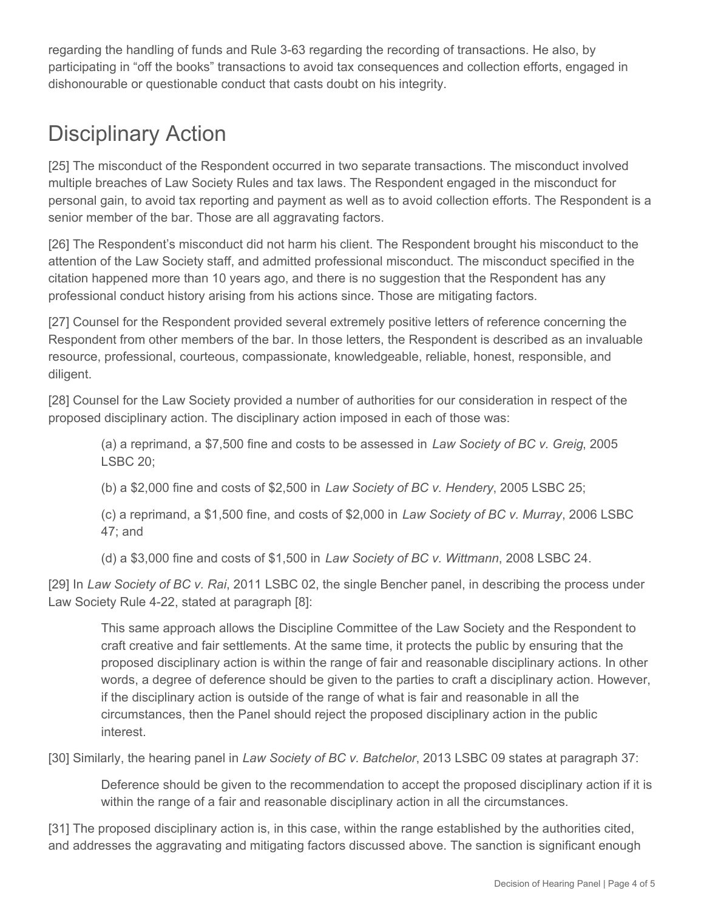regarding the handling of funds and Rule 3-63 regarding the recording of transactions. He also, by participating in "off the books" transactions to avoid tax consequences and collection efforts, engaged in dishonourable or questionable conduct that casts doubt on his integrity.

# Disciplinary Action

[25] The misconduct of the Respondent occurred in two separate transactions. The misconduct involved multiple breaches of Law Society Rules and tax laws. The Respondent engaged in the misconduct for personal gain, to avoid tax reporting and payment as well as to avoid collection efforts. The Respondent is a senior member of the bar. Those are all aggravating factors.

[26] The Respondent's misconduct did not harm his client. The Respondent brought his misconduct to the attention of the Law Society staff, and admitted professional misconduct. The misconduct specified in the citation happened more than 10 years ago, and there is no suggestion that the Respondent has any professional conduct history arising from his actions since. Those are mitigating factors.

[27] Counsel for the Respondent provided several extremely positive letters of reference concerning the Respondent from other members of the bar. In those letters, the Respondent is described as an invaluable resource, professional, courteous, compassionate, knowledgeable, reliable, honest, responsible, and diligent.

[28] Counsel for the Law Society provided a number of authorities for our consideration in respect of the proposed disciplinary action. The disciplinary action imposed in each of those was:

(a) a reprimand, a \$7,500 fine and costs to be assessed in *Law Society of BC v. Greig*, 2005 LSBC 20;

(b) a \$2,000 fine and costs of \$2,500 in *Law Society of BC v. Hendery*, 2005 LSBC 25;

(c) a reprimand, a \$1,500 fine, and costs of \$2,000 in *Law Society of BC v. Murray*, 2006 LSBC 47; and

(d) a \$3,000 fine and costs of \$1,500 in *Law Society of BC v. Wittmann*, 2008 LSBC 24.

[29] In *Law Society of BC v. Rai*, 2011 LSBC 02, the single Bencher panel, in describing the process under Law Society Rule 4-22, stated at paragraph [8]:

This same approach allows the Discipline Committee of the Law Society and the Respondent to craft creative and fair settlements. At the same time, it protects the public by ensuring that the proposed disciplinary action is within the range of fair and reasonable disciplinary actions. In other words, a degree of deference should be given to the parties to craft a disciplinary action. However, if the disciplinary action is outside of the range of what is fair and reasonable in all the circumstances, then the Panel should reject the proposed disciplinary action in the public interest.

[30] Similarly, the hearing panel in *Law Society of BC v. Batchelor*, 2013 LSBC 09 states at paragraph 37:

Deference should be given to the recommendation to accept the proposed disciplinary action if it is within the range of a fair and reasonable disciplinary action in all the circumstances.

[31] The proposed disciplinary action is, in this case, within the range established by the authorities cited, and addresses the aggravating and mitigating factors discussed above. The sanction is significant enough